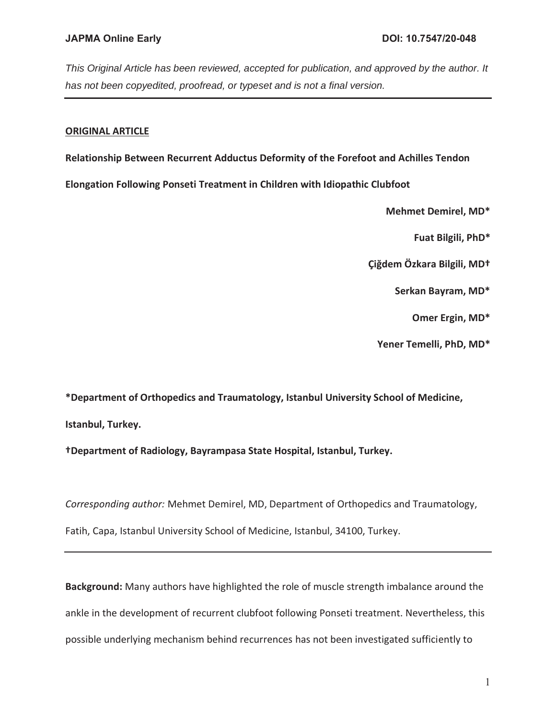## **ORIGINAL ARTICLE**

**Relationship Between Recurrent Adductus Deformity of the Forefoot and Achilles Tendon** 

**Elongation Following Ponseti Treatment in Children with Idiopathic Clubfoot** 

**Mehmet Demirel, MD\*** 

**Fuat Bilgili, PhD\*** 

**Çiğdem Özkara Bilgili, MD†** 

**Serkan Bayram, MD\*** 

**Omer Ergin, MD\*** 

**Yener Temelli, PhD, MD\*** 

**\*Department of Orthopedics and Traumatology, Istanbul University School of Medicine, Istanbul, Turkey.** 

**†Department of Radiology, Bayrampasa State Hospital, Istanbul, Turkey.** 

*Corresponding author:* Mehmet Demirel, MD, Department of Orthopedics and Traumatology,

Fatih, Capa, Istanbul University School of Medicine, Istanbul, 34100, Turkey.

**Background:** Many authors have highlighted the role of muscle strength imbalance around the ankle in the development of recurrent clubfoot following Ponseti treatment. Nevertheless, this possible underlying mechanism behind recurrences has not been investigated sufficiently to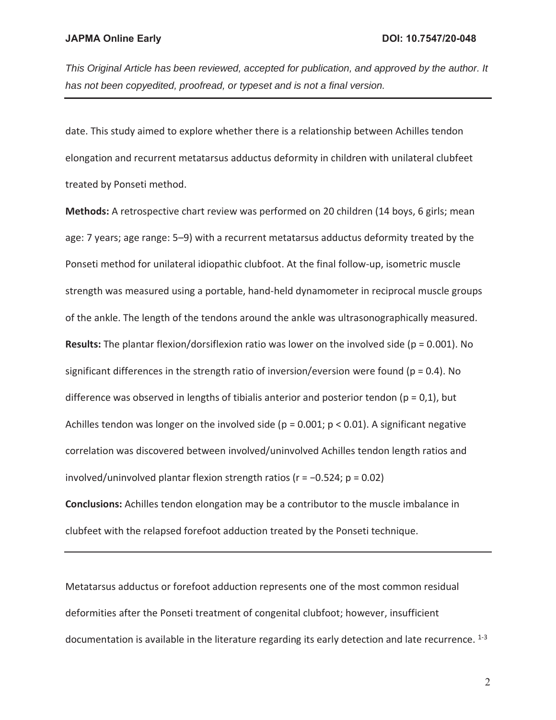date. This study aimed to explore whether there is a relationship between Achilles tendon elongation and recurrent metatarsus adductus deformity in children with unilateral clubfeet treated by Ponseti method.

**Methods:** A retrospective chart review was performed on 20 children (14 boys, 6 girls; mean age: 7 years; age range: 5–9) with a recurrent metatarsus adductus deformity treated by the Ponseti method for unilateral idiopathic clubfoot. At the final follow-up, isometric muscle strength was measured using a portable, hand-held dynamometer in reciprocal muscle groups of the ankle. The length of the tendons around the ankle was ultrasonographically measured. **Results:** The plantar flexion/dorsiflexion ratio was lower on the involved side (p = 0.001). No significant differences in the strength ratio of inversion/eversion were found ( $p = 0.4$ ). No difference was observed in lengths of tibialis anterior and posterior tendon ( $p = 0,1$ ), but Achilles tendon was longer on the involved side ( $p = 0.001$ ;  $p < 0.01$ ). A significant negative correlation was discovered between involved/uninvolved Achilles tendon length ratios and involved/uninvolved plantar flexion strength ratios (r = −0.524; p = 0.02)

**Conclusions:** Achilles tendon elongation may be a contributor to the muscle imbalance in clubfeet with the relapsed forefoot adduction treated by the Ponseti technique.

Metatarsus adductus or forefoot adduction represents one of the most common residual deformities after the Ponseti treatment of congenital clubfoot; however, insufficient documentation is available in the literature regarding its early detection and late recurrence. <sup>1-3</sup>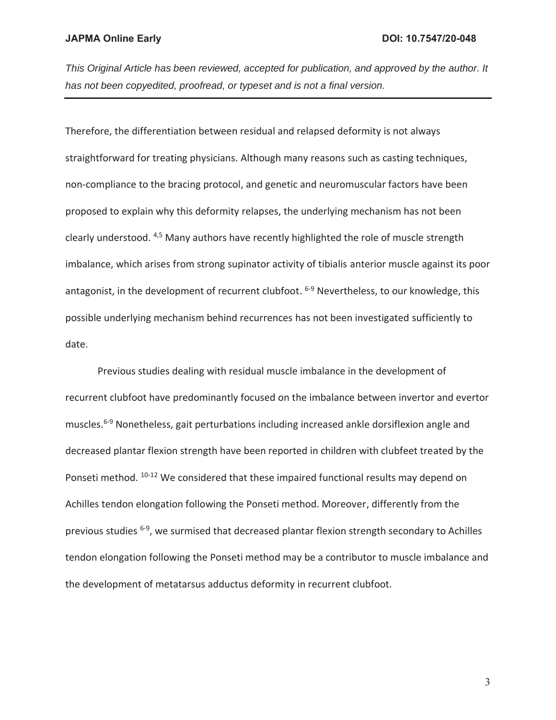Therefore, the differentiation between residual and relapsed deformity is not always straightforward for treating physicians. Although many reasons such as casting techniques, non-compliance to the bracing protocol, and genetic and neuromuscular factors have been proposed to explain why this deformity relapses, the underlying mechanism has not been clearly understood. 4,5 Many authors have recently highlighted the role of muscle strength imbalance, which arises from strong supinator activity of tibialis anterior muscle against its poor antagonist, in the development of recurrent clubfoot. <sup>6-9</sup> Nevertheless, to our knowledge, this possible underlying mechanism behind recurrences has not been investigated sufficiently to date.

Previous studies dealing with residual muscle imbalance in the development of recurrent clubfoot have predominantly focused on the imbalance between invertor and evertor muscles.6-9 Nonetheless, gait perturbations including increased ankle dorsiflexion angle and decreased plantar flexion strength have been reported in children with clubfeet treated by the Ponseti method. <sup>10-12</sup> We considered that these impaired functional results may depend on Achilles tendon elongation following the Ponseti method. Moreover, differently from the previous studies 6-9, we surmised that decreased plantar flexion strength secondary to Achilles tendon elongation following the Ponseti method may be a contributor to muscle imbalance and the development of metatarsus adductus deformity in recurrent clubfoot.

3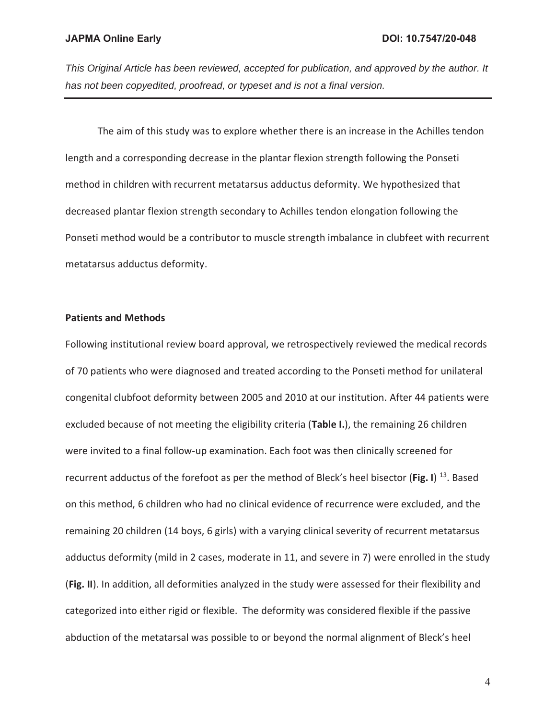The aim of this study was to explore whether there is an increase in the Achilles tendon length and a corresponding decrease in the plantar flexion strength following the Ponseti method in children with recurrent metatarsus adductus deformity. We hypothesized that decreased plantar flexion strength secondary to Achilles tendon elongation following the Ponseti method would be a contributor to muscle strength imbalance in clubfeet with recurrent metatarsus adductus deformity.

#### **Patients and Methods**

Following institutional review board approval, we retrospectively reviewed the medical records of 70 patients who were diagnosed and treated according to the Ponseti method for unilateral congenital clubfoot deformity between 2005 and 2010 at our institution. After 44 patients were excluded because of not meeting the eligibility criteria (**Table I.**), the remaining 26 children were invited to a final follow-up examination. Each foot was then clinically screened for recurrent adductus of the forefoot as per the method of Bleck's heel bisector (**Fig. I**) 13. Based on this method, 6 children who had no clinical evidence of recurrence were excluded, and the remaining 20 children (14 boys, 6 girls) with a varying clinical severity of recurrent metatarsus adductus deformity (mild in 2 cases, moderate in 11, and severe in 7) were enrolled in the study (**Fig. II**). In addition, all deformities analyzed in the study were assessed for their flexibility and categorized into either rigid or flexible. The deformity was considered flexible if the passive abduction of the metatarsal was possible to or beyond the normal alignment of Bleck's heel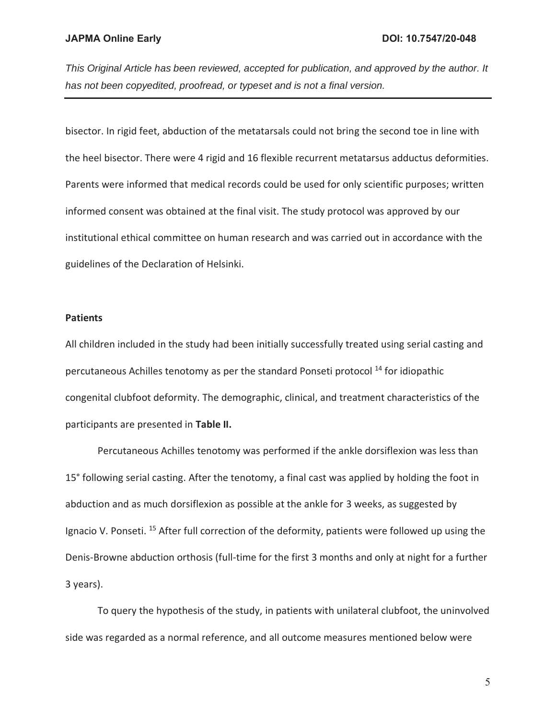bisector. In rigid feet, abduction of the metatarsals could not bring the second toe in line with the heel bisector. There were 4 rigid and 16 flexible recurrent metatarsus adductus deformities. Parents were informed that medical records could be used for only scientific purposes; written informed consent was obtained at the final visit. The study protocol was approved by our institutional ethical committee on human research and was carried out in accordance with the guidelines of the Declaration of Helsinki.

#### **Patients**

All children included in the study had been initially successfully treated using serial casting and percutaneous Achilles tenotomy as per the standard Ponseti protocol 14 for idiopathic congenital clubfoot deformity. The demographic, clinical, and treatment characteristics of the participants are presented in **Table II.**

Percutaneous Achilles tenotomy was performed if the ankle dorsiflexion was less than 15° following serial casting. After the tenotomy, a final cast was applied by holding the foot in abduction and as much dorsiflexion as possible at the ankle for 3 weeks, as suggested by Ignacio V. Ponseti. <sup>15</sup> After full correction of the deformity, patients were followed up using the Denis-Browne abduction orthosis (full-time for the first 3 months and only at night for a further 3 years).

To query the hypothesis of the study, in patients with unilateral clubfoot, the uninvolved side was regarded as a normal reference, and all outcome measures mentioned below were

5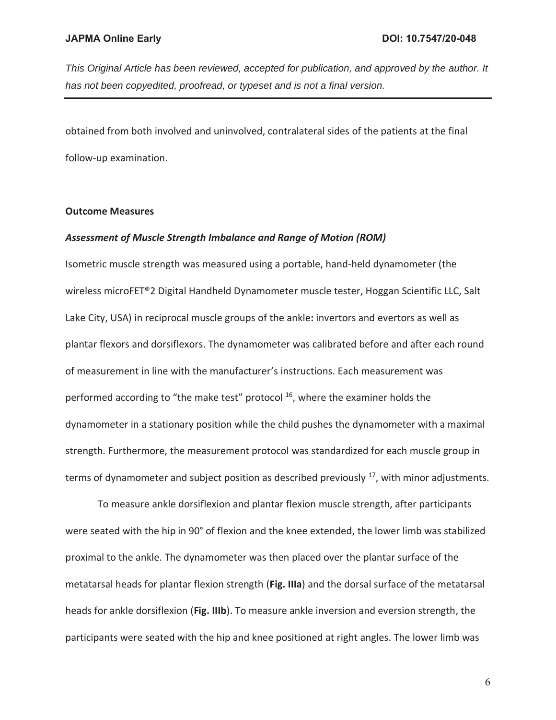*This Original Article has been reviewed, accepted for publication, and approved by the author. It has not been copyedited, proofread, or typeset and is not a final version.* 

obtained from both involved and uninvolved, contralateral sides of the patients at the final follow-up examination.

### **Outcome Measures**

#### *Assessment of Muscle Strength Imbalance and Range of Motion (ROM)*

Isometric muscle strength was measured using a portable, hand-held dynamometer (the wireless microFET®2 Digital Handheld Dynamometer muscle tester, Hoggan Scientific LLC, Salt Lake City, USA) in reciprocal muscle groups of the ankle**:** invertors and evertors as well as plantar flexors and dorsiflexors. The dynamometer was calibrated before and after each round of measurement in line with the manufacturer's instructions. Each measurement was performed according to "the make test" protocol  $16$ , where the examiner holds the dynamometer in a stationary position while the child pushes the dynamometer with a maximal strength. Furthermore, the measurement protocol was standardized for each muscle group in terms of dynamometer and subject position as described previously  $17$ , with minor adjustments.

To measure ankle dorsiflexion and plantar flexion muscle strength, after participants were seated with the hip in 90° of flexion and the knee extended, the lower limb was stabilized proximal to the ankle. The dynamometer was then placed over the plantar surface of the metatarsal heads for plantar flexion strength (**Fig. IIIa**) and the dorsal surface of the metatarsal heads for ankle dorsiflexion (**Fig. IIIb**). To measure ankle inversion and eversion strength, the participants were seated with the hip and knee positioned at right angles. The lower limb was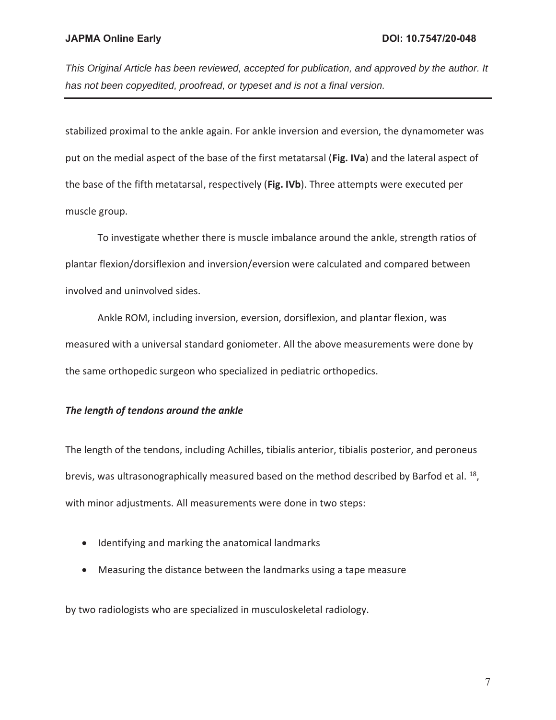stabilized proximal to the ankle again. For ankle inversion and eversion, the dynamometer was put on the medial aspect of the base of the first metatarsal (**Fig. IVa**) and the lateral aspect of the base of the fifth metatarsal, respectively (**Fig. IVb**). Three attempts were executed per muscle group.

To investigate whether there is muscle imbalance around the ankle, strength ratios of plantar flexion/dorsiflexion and inversion/eversion were calculated and compared between involved and uninvolved sides.

Ankle ROM, including inversion, eversion, dorsiflexion, and plantar flexion, was measured with a universal standard goniometer. All the above measurements were done by the same orthopedic surgeon who specialized in pediatric orthopedics.

## *The length of tendons around the ankle*

The length of the tendons, including Achilles, tibialis anterior, tibialis posterior, and peroneus brevis, was ultrasonographically measured based on the method described by Barfod et al. <sup>18</sup>, with minor adjustments. All measurements were done in two steps:

- Identifying and marking the anatomical landmarks
- Measuring the distance between the landmarks using a tape measure

by two radiologists who are specialized in musculoskeletal radiology.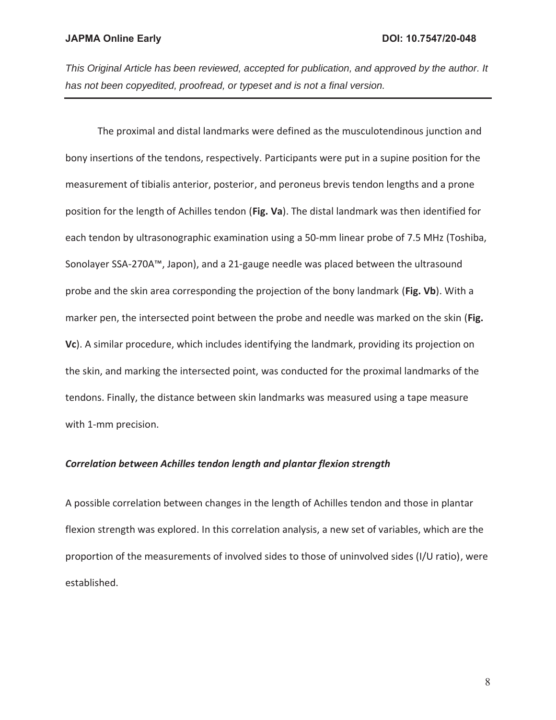The proximal and distal landmarks were defined as the musculotendinous junction and bony insertions of the tendons, respectively. Participants were put in a supine position for the measurement of tibialis anterior, posterior, and peroneus brevis tendon lengths and a prone position for the length of Achilles tendon (**Fig. Va**). The distal landmark was then identified for each tendon by ultrasonographic examination using a 50-mm linear probe of 7.5 MHz (Toshiba, Sonolayer SSA-270A™, Japon), and a 21-gauge needle was placed between the ultrasound probe and the skin area corresponding the projection of the bony landmark (**Fig. Vb**). With a marker pen, the intersected point between the probe and needle was marked on the skin (**Fig. Vc**). A similar procedure, which includes identifying the landmark, providing its projection on the skin, and marking the intersected point, was conducted for the proximal landmarks of the tendons. Finally, the distance between skin landmarks was measured using a tape measure with 1-mm precision.

#### *Correlation between Achilles tendon length and plantar flexion strength*

A possible correlation between changes in the length of Achilles tendon and those in plantar flexion strength was explored. In this correlation analysis, a new set of variables, which are the proportion of the measurements of involved sides to those of uninvolved sides (I/U ratio), were established.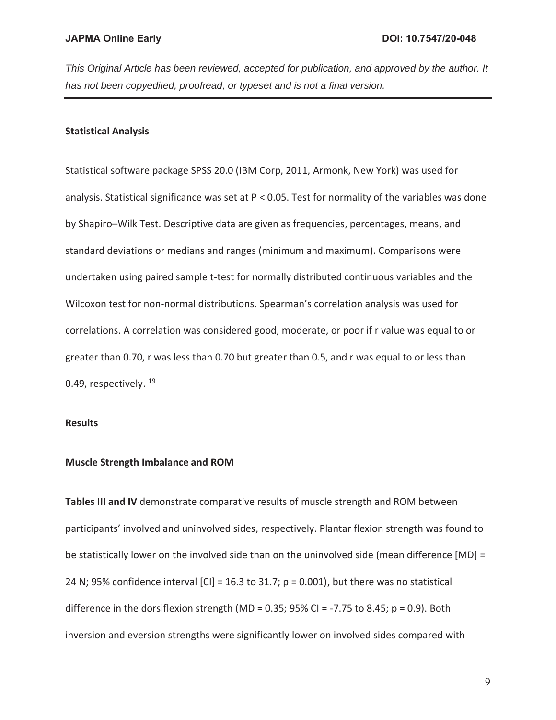## **Statistical Analysis**

Statistical software package SPSS 20.0 (IBM Corp, 2011, Armonk, New York) was used for analysis. Statistical significance was set at P < 0.05. Test for normality of the variables was done by Shapiro–Wilk Test. Descriptive data are given as frequencies, percentages, means, and standard deviations or medians and ranges (minimum and maximum). Comparisons were undertaken using paired sample t-test for normally distributed continuous variables and the Wilcoxon test for non-normal distributions. Spearman's correlation analysis was used for correlations. A correlation was considered good, moderate, or poor if r value was equal to or greater than 0.70, r was less than 0.70 but greater than 0.5, and r was equal to or less than 0.49, respectively. <sup>19</sup>

### **Results**

#### **Muscle Strength Imbalance and ROM**

**Tables III and IV** demonstrate comparative results of muscle strength and ROM between participants' involved and uninvolved sides, respectively. Plantar flexion strength was found to be statistically lower on the involved side than on the uninvolved side (mean difference [MD] = 24 N; 95% confidence interval  $|CI| = 16.3$  to 31.7; p = 0.001), but there was no statistical difference in the dorsiflexion strength (MD = 0.35; 95% CI =  $-7.75$  to 8.45; p = 0.9). Both inversion and eversion strengths were significantly lower on involved sides compared with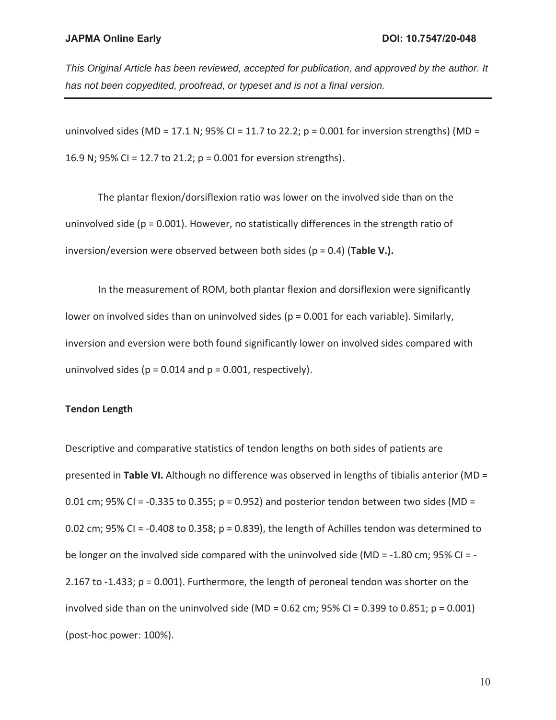*This Original Article has been reviewed, accepted for publication, and approved by the author. It has not been copyedited, proofread, or typeset and is not a final version.* 

uninvolved sides (MD = 17.1 N; 95% CI = 11.7 to 22.2;  $p = 0.001$  for inversion strengths) (MD = 16.9 N; 95% CI = 12.7 to 21.2; p = 0.001 for eversion strengths).

 The plantar flexion/dorsiflexion ratio was lower on the involved side than on the uninvolved side (p = 0.001). However, no statistically differences in the strength ratio of inversion/eversion were observed between both sides (p = 0.4) (**Table V.).**

 In the measurement of ROM, both plantar flexion and dorsiflexion were significantly lower on involved sides than on uninvolved sides ( $p = 0.001$  for each variable). Similarly, inversion and eversion were both found significantly lower on involved sides compared with uninvolved sides ( $p = 0.014$  and  $p = 0.001$ , respectively).

#### **Tendon Length**

Descriptive and comparative statistics of tendon lengths on both sides of patients are presented in **Table VI.** Although no difference was observed in lengths of tibialis anterior (MD = 0.01 cm; 95% CI = -0.335 to 0.355;  $p = 0.952$ ) and posterior tendon between two sides (MD = 0.02 cm; 95% CI = -0.408 to 0.358;  $p = 0.839$ ), the length of Achilles tendon was determined to be longer on the involved side compared with the uninvolved side (MD = -1.80 cm; 95% CI = - 2.167 to -1.433; p = 0.001). Furthermore, the length of peroneal tendon was shorter on the involved side than on the uninvolved side (MD =  $0.62$  cm; 95% CI =  $0.399$  to  $0.851$ ; p =  $0.001$ ) (post-hoc power: 100%).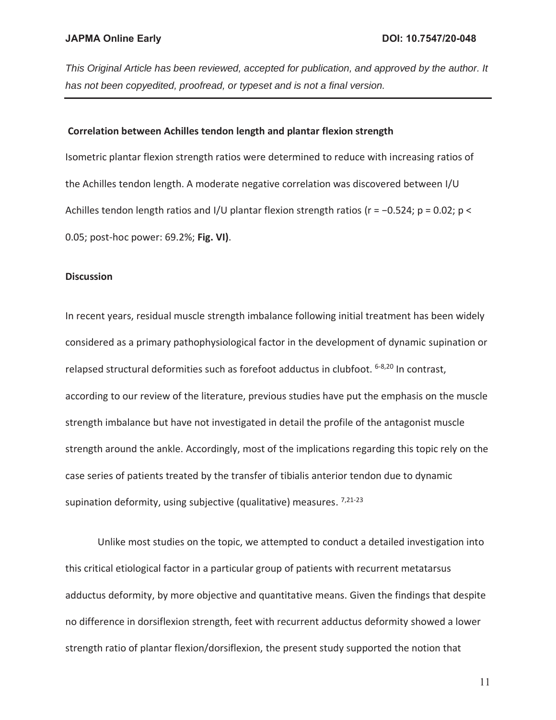#### **Correlation between Achilles tendon length and plantar flexion strength**

Isometric plantar flexion strength ratios were determined to reduce with increasing ratios of the Achilles tendon length. A moderate negative correlation was discovered between I/U Achilles tendon length ratios and I/U plantar flexion strength ratios (r = −0.524; p = 0.02; p < 0.05; post-hoc power: 69.2%; **Fig. VI)**.

#### **Discussion**

In recent years, residual muscle strength imbalance following initial treatment has been widely considered as a primary pathophysiological factor in the development of dynamic supination or relapsed structural deformities such as forefoot adductus in clubfoot. <sup>6-8,20</sup> In contrast, according to our review of the literature, previous studies have put the emphasis on the muscle strength imbalance but have not investigated in detail the profile of the antagonist muscle strength around the ankle. Accordingly, most of the implications regarding this topic rely on the case series of patients treated by the transfer of tibialis anterior tendon due to dynamic supination deformity, using subjective (qualitative) measures. 7,21-23

Unlike most studies on the topic, we attempted to conduct a detailed investigation into this critical etiological factor in a particular group of patients with recurrent metatarsus adductus deformity, by more objective and quantitative means. Given the findings that despite no difference in dorsiflexion strength, feet with recurrent adductus deformity showed a lower strength ratio of plantar flexion/dorsiflexion, the present study supported the notion that

11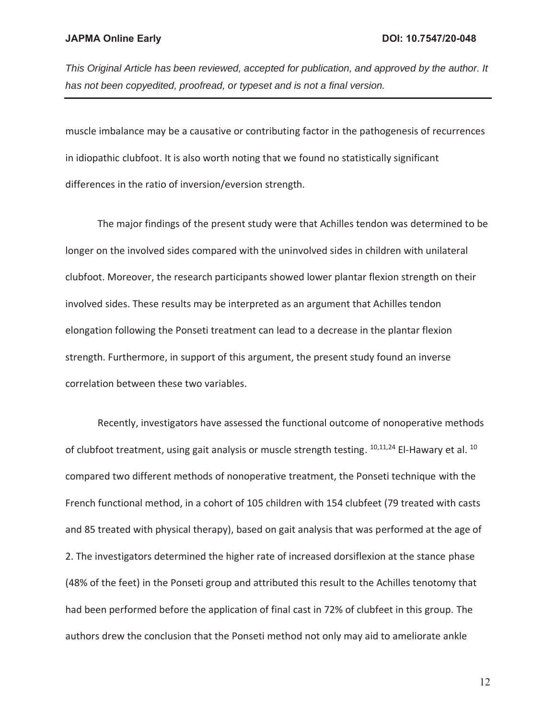muscle imbalance may be a causative or contributing factor in the pathogenesis of recurrences in idiopathic clubfoot. It is also worth noting that we found no statistically significant differences in the ratio of inversion/eversion strength.

The major findings of the present study were that Achilles tendon was determined to be longer on the involved sides compared with the uninvolved sides in children with unilateral clubfoot. Moreover, the research participants showed lower plantar flexion strength on their involved sides. These results may be interpreted as an argument that Achilles tendon elongation following the Ponseti treatment can lead to a decrease in the plantar flexion strength. Furthermore, in support of this argument, the present study found an inverse correlation between these two variables.

Recently, investigators have assessed the functional outcome of nonoperative methods of clubfoot treatment, using gait analysis or muscle strength testing.  $10,11,24$  El-Hawary et al.  $10$ compared two different methods of nonoperative treatment, the Ponseti technique with the French functional method, in a cohort of 105 children with 154 clubfeet (79 treated with casts and 85 treated with physical therapy), based on gait analysis that was performed at the age of 2. The investigators determined the higher rate of increased dorsiflexion at the stance phase (48% of the feet) in the Ponseti group and attributed this result to the Achilles tenotomy that had been performed before the application of final cast in 72% of clubfeet in this group. The authors drew the conclusion that the Ponseti method not only may aid to ameliorate ankle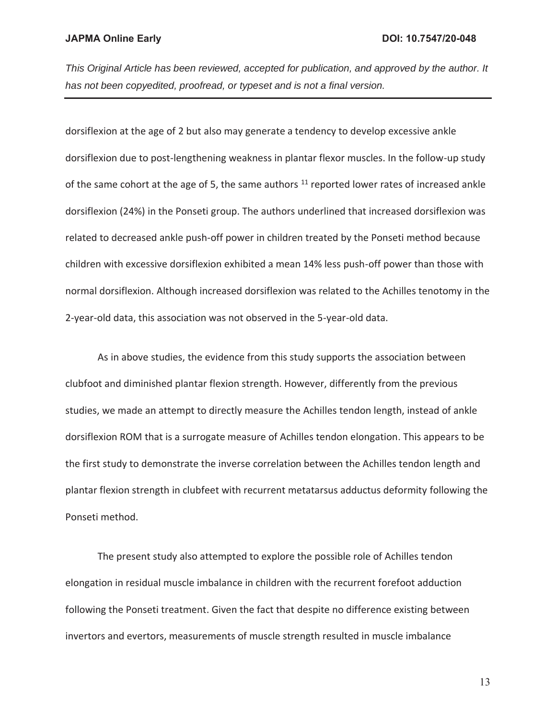dorsiflexion at the age of 2 but also may generate a tendency to develop excessive ankle dorsiflexion due to post-lengthening weakness in plantar flexor muscles. In the follow-up study of the same cohort at the age of 5, the same authors  $11$  reported lower rates of increased ankle dorsiflexion (24%) in the Ponseti group. The authors underlined that increased dorsiflexion was related to decreased ankle push-off power in children treated by the Ponseti method because children with excessive dorsiflexion exhibited a mean 14% less push-off power than those with normal dorsiflexion. Although increased dorsiflexion was related to the Achilles tenotomy in the 2-year-old data, this association was not observed in the 5-year-old data.

As in above studies, the evidence from this study supports the association between clubfoot and diminished plantar flexion strength. However, differently from the previous studies, we made an attempt to directly measure the Achilles tendon length, instead of ankle dorsiflexion ROM that is a surrogate measure of Achilles tendon elongation. This appears to be the first study to demonstrate the inverse correlation between the Achilles tendon length and plantar flexion strength in clubfeet with recurrent metatarsus adductus deformity following the Ponseti method.

The present study also attempted to explore the possible role of Achilles tendon elongation in residual muscle imbalance in children with the recurrent forefoot adduction following the Ponseti treatment. Given the fact that despite no difference existing between invertors and evertors, measurements of muscle strength resulted in muscle imbalance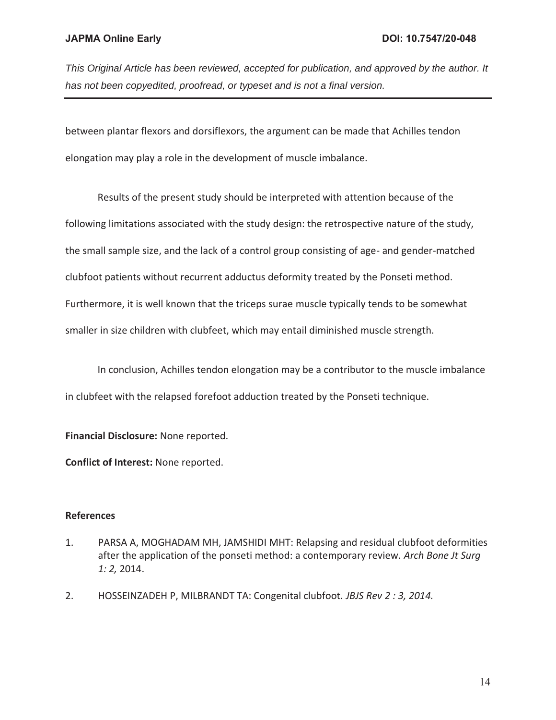between plantar flexors and dorsiflexors, the argument can be made that Achilles tendon elongation may play a role in the development of muscle imbalance.

Results of the present study should be interpreted with attention because of the following limitations associated with the study design: the retrospective nature of the study, the small sample size, and the lack of a control group consisting of age- and gender-matched clubfoot patients without recurrent adductus deformity treated by the Ponseti method. Furthermore, it is well known that the triceps surae muscle typically tends to be somewhat smaller in size children with clubfeet, which may entail diminished muscle strength.

In conclusion, Achilles tendon elongation may be a contributor to the muscle imbalance in clubfeet with the relapsed forefoot adduction treated by the Ponseti technique.

**Financial Disclosure:** None reported.

**Conflict of Interest:** None reported.

## **References**

- 1. PARSA A, MOGHADAM MH, JAMSHIDI MHT: Relapsing and residual clubfoot deformities after the application of the ponseti method: a contemporary review. *Arch Bone Jt Surg 1: 2,* 2014.
- 2. HOSSEINZADEH P, MILBRANDT TA: Congenital clubfoot. *JBJS Rev 2 : 3, 2014.*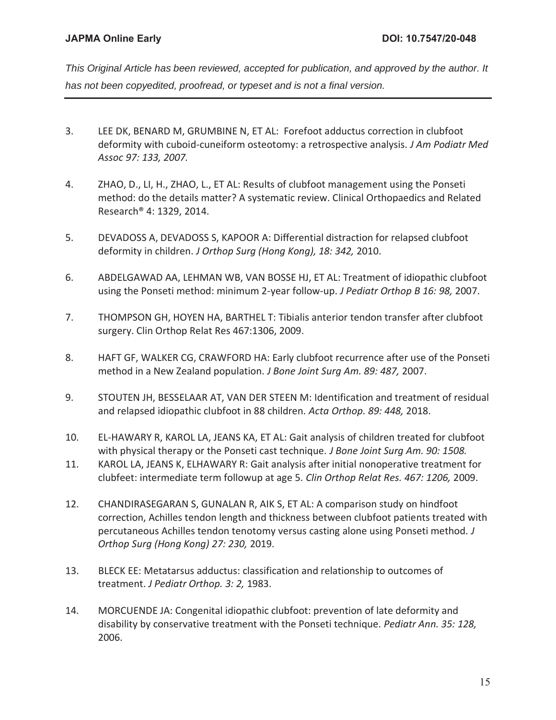- 3. LEE DK, BENARD M, GRUMBINE N, ET AL: Forefoot adductus correction in clubfoot deformity with cuboid-cuneiform osteotomy: a retrospective analysis. *J Am Podiatr Med Assoc 97: 133, 2007.*
- 4. ZHAO, D., LI, H., ZHAO, L., ET AL: Results of clubfoot management using the Ponseti method: do the details matter? A systematic review. Clinical Orthopaedics and Related Research® 4: 1329, 2014.
- 5. DEVADOSS A, DEVADOSS S, KAPOOR A: Differential distraction for relapsed clubfoot deformity in children. *J Orthop Surg (Hong Kong), 18: 342,* 2010.
- 6. ABDELGAWAD AA, LEHMAN WB, VAN BOSSE HJ, ET AL: Treatment of idiopathic clubfoot using the Ponseti method: minimum 2-year follow-up. *J Pediatr Orthop B 16: 98,* 2007.
- 7. THOMPSON GH, HOYEN HA, BARTHEL T: Tibialis anterior tendon transfer after clubfoot surgery. Clin Orthop Relat Res 467:1306, 2009.
- 8. HAFT GF, WALKER CG, CRAWFORD HA: Early clubfoot recurrence after use of the Ponseti method in a New Zealand population. *J Bone Joint Surg Am. 89: 487,* 2007.
- 9. STOUTEN JH, BESSELAAR AT, VAN DER STEEN M: Identification and treatment of residual and relapsed idiopathic clubfoot in 88 children. *Acta Orthop. 89: 448,* 2018.
- 10. EL-HAWARY R, KAROL LA, JEANS KA, ET AL: Gait analysis of children treated for clubfoot with physical therapy or the Ponseti cast technique. *J Bone Joint Surg Am. 90: 1508.*
- 11. KAROL LA, JEANS K, ELHAWARY R: Gait analysis after initial nonoperative treatment for clubfeet: intermediate term followup at age 5. *Clin Orthop Relat Res. 467: 1206,* 2009.
- 12. CHANDIRASEGARAN S, GUNALAN R, AIK S, ET AL: A comparison study on hindfoot correction, Achilles tendon length and thickness between clubfoot patients treated with percutaneous Achilles tendon tenotomy versus casting alone using Ponseti method. *J Orthop Surg (Hong Kong) 27: 230,* 2019.
- 13. BLECK EE: Metatarsus adductus: classification and relationship to outcomes of treatment. *J Pediatr Orthop. 3: 2,* 1983.
- 14. MORCUENDE JA: Congenital idiopathic clubfoot: prevention of late deformity and disability by conservative treatment with the Ponseti technique. *Pediatr Ann. 35: 128,*  2006.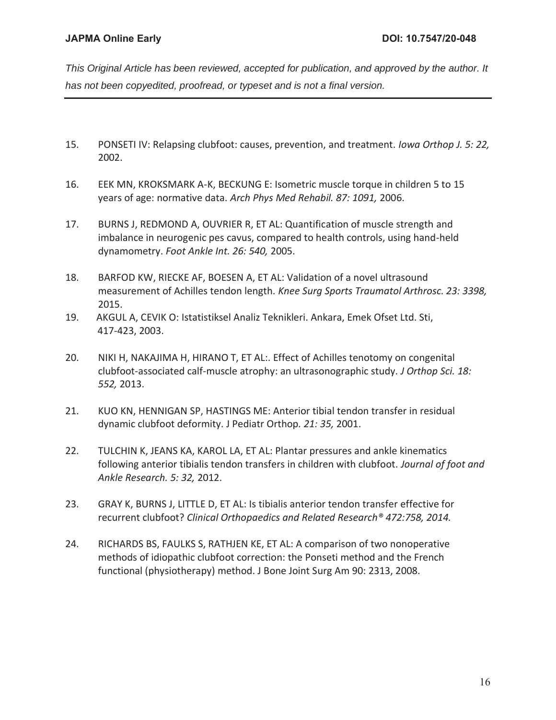- 15. PONSETI IV: Relapsing clubfoot: causes, prevention, and treatment. *Iowa Orthop J. 5: 22,*  2002.
- 16. EEK MN, KROKSMARK A-K, BECKUNG E: Isometric muscle torque in children 5 to 15 years of age: normative data. *Arch Phys Med Rehabil. 87: 1091,* 2006.
- 17. BURNS J, REDMOND A, OUVRIER R, ET AL: Quantification of muscle strength and imbalance in neurogenic pes cavus, compared to health controls, using hand-held dynamometry. *Foot Ankle Int. 26: 540,* 2005.
- 18. BARFOD KW, RIECKE AF, BOESEN A, ET AL: Validation of a novel ultrasound measurement of Achilles tendon length. *Knee Surg Sports Traumatol Arthrosc. 23: 3398,*  2015.
- 19. AKGUL A, CEVIK O: Istatistiksel Analiz Teknikleri. Ankara, Emek Ofset Ltd. Sti, 417-423, 2003.
- 20. NIKI H, NAKAJIMA H, HIRANO T, ET AL:. Effect of Achilles tenotomy on congenital clubfoot-associated calf-muscle atrophy: an ultrasonographic study. *J Orthop Sci. 18: 552,* 2013.
- 21. KUO KN, HENNIGAN SP, HASTINGS ME: Anterior tibial tendon transfer in residual dynamic clubfoot deformity. J Pediatr Orthop*. 21: 35,* 2001.
- 22. TULCHIN K, JEANS KA, KAROL LA, ET AL: Plantar pressures and ankle kinematics following anterior tibialis tendon transfers in children with clubfoot. *Journal of foot and Ankle Research. 5: 32,* 2012.
- 23. GRAY K, BURNS J, LITTLE D, ET AL: Is tibialis anterior tendon transfer effective for recurrent clubfoot? *Clinical Orthopaedics and Related Research® 472:758, 2014.*
- 24. RICHARDS BS, FAULKS S, RATHJEN KE, ET AL: A comparison of two nonoperative methods of idiopathic clubfoot correction: the Ponseti method and the French functional (physiotherapy) method. J Bone Joint Surg Am 90: 2313, 2008.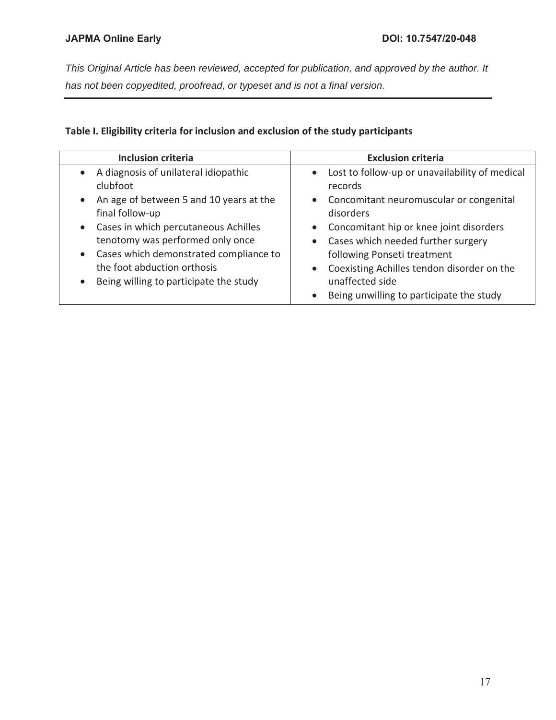# **Table I. Eligibility criteria for inclusion and exclusion of the study participants**

| <b>Inclusion criteria</b>               | <b>Exclusion criteria</b>                        |
|-----------------------------------------|--------------------------------------------------|
| • A diagnosis of unilateral idiopathic  | • Lost to follow-up or unavailability of medical |
| clubfoot                                | records                                          |
| An age of between 5 and 10 years at the | • Concomitant neuromuscular or congenital        |
| $\bullet$                               | disorders                                        |
| final follow-up                         | • Concomitant hip or knee joint disorders        |
| • Cases in which percutaneous Achilles  | • Cases which needed further surgery             |
| tenotomy was performed only once        | following Ponseti treatment                      |
| Cases which demonstrated compliance to  | Coexisting Achilles tendon disorder on the       |
| $\bullet$                               | $\bullet$                                        |
| the foot abduction orthosis             | unaffected side                                  |
| Being willing to participate the study  | Being unwilling to participate the study         |
| $\bullet$                               | $\bullet$                                        |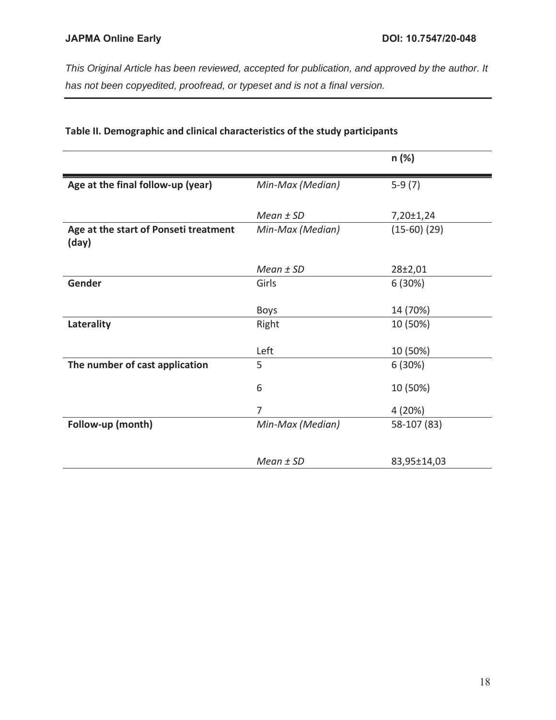|                                                |                  | n (%)            |
|------------------------------------------------|------------------|------------------|
| Age at the final follow-up (year)              | Min-Max (Median) | $5-9(7)$         |
|                                                | Mean $±$ SD      | 7,20±1,24        |
| Age at the start of Ponseti treatment<br>(day) | Min-Max (Median) | $(15-60)$ $(29)$ |
|                                                | Mean $±$ SD      | 28±2,01          |
| Gender                                         | Girls            | 6(30%)           |
|                                                | <b>Boys</b>      | 14 (70%)         |
| Laterality                                     | Right            | 10 (50%)         |
|                                                | Left             | 10 (50%)         |
| The number of cast application                 | 5                | 6(30%)           |
|                                                | 6                | 10 (50%)         |
|                                                | $\overline{7}$   | 4(20%)           |
| Follow-up (month)                              | Min-Max (Median) | 58-107 (83)      |
|                                                |                  |                  |
|                                                | $Mean \pm SD$    | 83,95±14,03      |

## **Table II. Demographic and clinical characteristics of the study participants**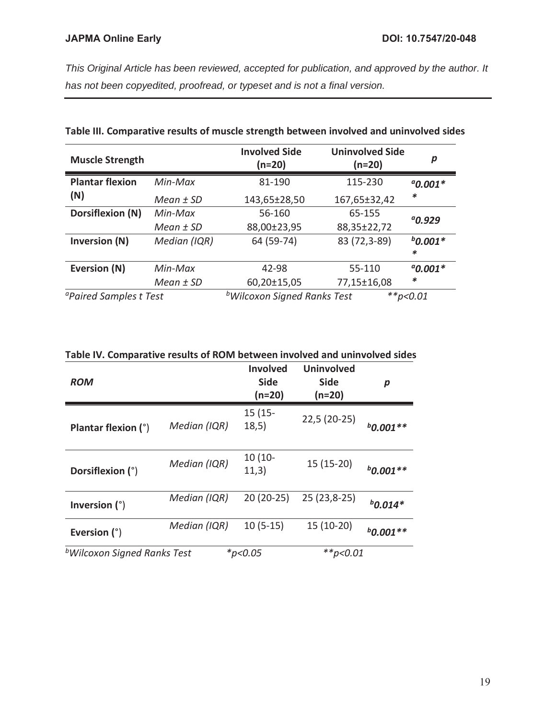| <b>Muscle Strength</b>             |              | <b>Involved Side</b><br>(n=20)          | <b>Uninvolved Side</b><br>$(n=20)$ | p               |
|------------------------------------|--------------|-----------------------------------------|------------------------------------|-----------------|
| <b>Plantar flexion</b>             | Min-Max      | 81-190                                  | 115-230                            | $^{a}$ 0.001*   |
| (N)                                | Mean $±$ SD  | 143,65±28,50                            | 167,65±32,42                       | $\ast$          |
| <b>Dorsiflexion (N)</b>            | Min-Max      | 56-160                                  | 65-155                             | $^{a}$ 0.929    |
|                                    | Mean $±$ SD  | 88,00±23,95                             | 88,35±22,72                        |                 |
| <b>Inversion (N)</b>               | Median (IQR) | 64 (59-74)                              | 83 (72,3-89)                       | $b$ 0.001*<br>* |
| Eversion (N)                       | Min-Max      | 42-98                                   | 55-110                             | $^{a}$ 0.001*   |
|                                    | Mean $±$ SD  | 60,20±15,05                             | 77,15±16,08                        | $\ast$          |
| <sup>a</sup> Paired Samples t Test |              | <sup>b</sup> Wilcoxon Signed Ranks Test |                                    | **p<0.01        |

## **Table III. Comparative results of muscle strength between involved and uninvolved sides**

|  |  |  | Table IV. Comparative results of ROM between involved and uninvolved sides |
|--|--|--|----------------------------------------------------------------------------|
|--|--|--|----------------------------------------------------------------------------|

| <b>ROM</b>                              |              | <b>Involved</b><br><b>Side</b><br>(n=20) | <b>Uninvolved</b><br><b>Side</b><br>(n=20) | р           |
|-----------------------------------------|--------------|------------------------------------------|--------------------------------------------|-------------|
| Plantar flexion (°)                     | Median (IQR) | $15(15 -$<br>18,5)                       | $22,5(20-25)$                              | $b$ 0.001** |
| Dorsiflexion (°)                        | Median (IQR) | $10(10 -$<br>11,3)                       | $15(15-20)$                                | $b$ 0.001** |
| Inversion $(°)$                         | Median (IQR) | $20(20-25)$                              | 25 (23,8-25)                               | $b$ 0.014*  |
| Eversion $(°)$                          | Median (IQR) | $10(5-15)$                               | 15 (10-20)                                 | $b$ 0.001** |
| <sup>b</sup> Wilcoxon Signed Ranks Test |              | $*_{p<0.05}$                             | $*$ $p$ <0.01                              |             |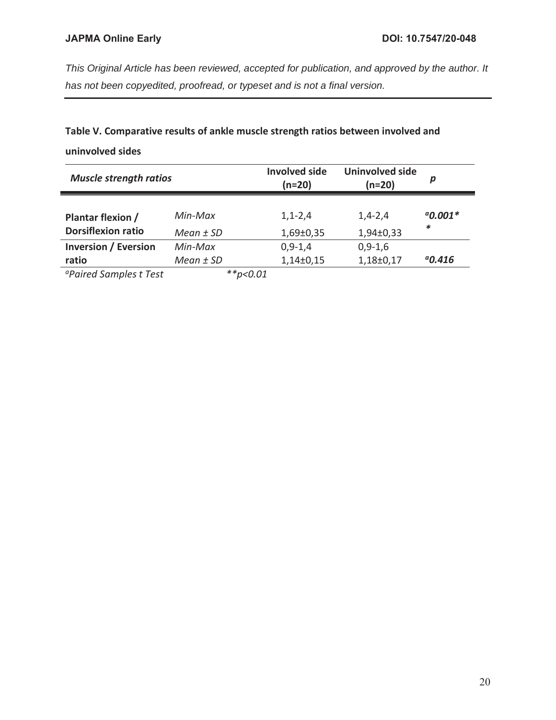# **Table V. Comparative results of ankle muscle strength ratios between involved and**

**uninvolved sides** 

| <b>Muscle strength ratios</b> |              | <b>Involved side</b><br>$(n=20)$ | Uninvolved side<br>$(n=20)$ | р             |  |
|-------------------------------|--------------|----------------------------------|-----------------------------|---------------|--|
| Plantar flexion /             | $Min-Max$    | $1, 1 - 2, 4$                    | $1,4-2,4$                   | $^{a}$ 0.001* |  |
| <b>Dorsiflexion ratio</b>     | Mean $±$ SD  | 1,69±0,35                        | 1,94±0,33                   | *             |  |
| <b>Inversion / Eversion</b>   | Min-Max      | $0,9-1,4$                        | $0,9-1,6$                   |               |  |
| ratio                         | Mean $±$ SD  | $1,14\pm0,15$                    | 1,18±0,17                   | $^{a}$ 0.416  |  |
| $0$ Daiuad Canaalaa + Taat    | $*** - 0.01$ |                                  |                             |               |  |

*aPaired Samples t Test \*\*p<0.01*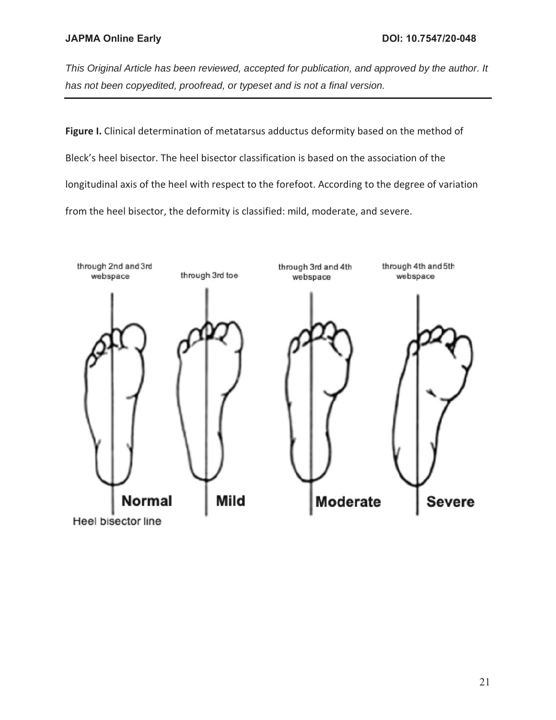**Figure I.** Clinical determination of metatarsus adductus deformity based on the method of Bleck's heel bisector. The heel bisector classification is based on the association of the longitudinal axis of the heel with respect to the forefoot. According to the degree of variation from the heel bisector, the deformity is classified: mild, moderate, and severe.

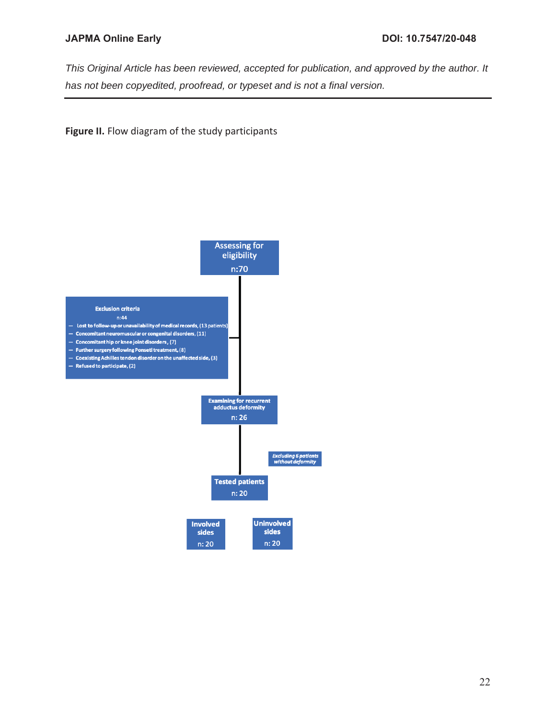*This Original Article has been reviewed, accepted for publication, and approved by the author. It has not been copyedited, proofread, or typeset and is not a final version.* 

## **Figure II.** Flow diagram of the study participants

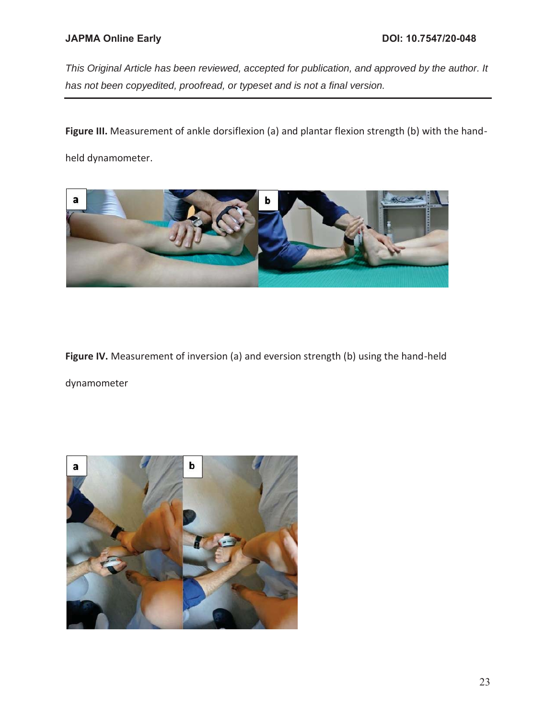**Figure III.** Measurement of ankle dorsiflexion (a) and plantar flexion strength (b) with the hand-

held dynamometer.



**Figure IV.** Measurement of inversion (a) and eversion strength (b) using the hand-held dynamometer

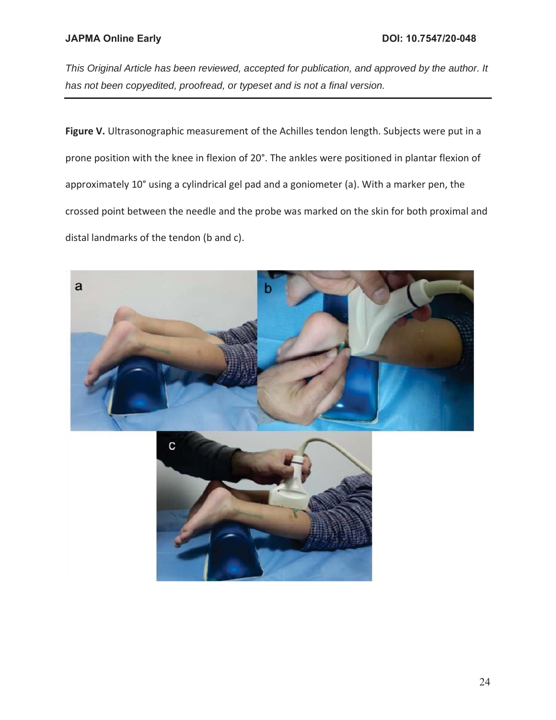*This Original Article has been reviewed, accepted for publication, and approved by the author. It has not been copyedited, proofread, or typeset and is not a final version.* 

**Figure V.** Ultrasonographic measurement of the Achilles tendon length. Subjects were put in a prone position with the knee in flexion of 20°. The ankles were positioned in plantar flexion of approximately 10° using a cylindrical gel pad and a goniometer (a). With a marker pen, the crossed point between the needle and the probe was marked on the skin for both proximal and distal landmarks of the tendon (b and c).